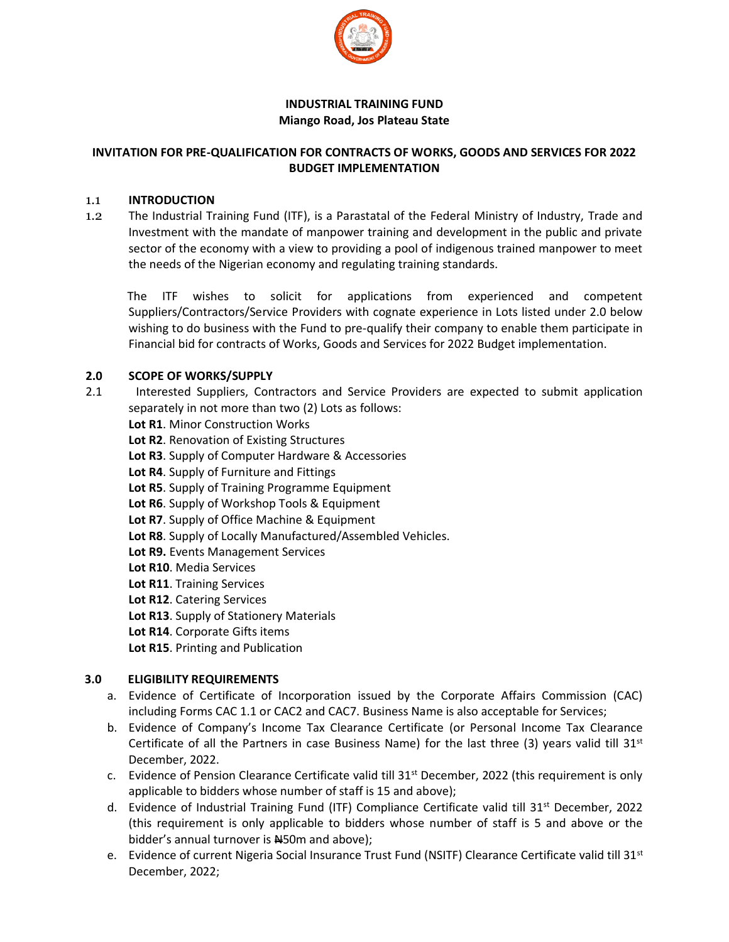

#### **INDUSTRIAL TRAINING FUND Miango Road, Jos Plateau State**

#### **INVITATION FOR PRE-QUALIFICATION FOR CONTRACTS OF WORKS, GOODS AND SERVICES FOR 2022 BUDGET IMPLEMENTATION**

#### 1.1 **INTRODUCTION**

1.2 The Industrial Training Fund (ITF), is a Parastatal of the Federal Ministry of Industry, Trade and Investment with the mandate of manpower training and development in the public and private sector of the economy with a view to providing a pool of indigenous trained manpower to meet the needs of the Nigerian economy and regulating training standards.

 The ITF wishes to solicit for applications from experienced and competent Suppliers/Contractors/Service Providers with cognate experience in Lots listed under 2.0 below wishing to do business with the Fund to pre-qualify their company to enable them participate in Financial bid for contracts of Works, Goods and Services for 2022 Budget implementation.

#### **2.0 SCOPE OF WORKS/SUPPLY**

- 2.1 Interested Suppliers, Contractors and Service Providers are expected to submit application separately in not more than two (2) Lots as follows:
	- **Lot R1**. Minor Construction Works
	- **Lot R2**. Renovation of Existing Structures
	- **Lot R3**. Supply of Computer Hardware & Accessories
	- **Lot R4**. Supply of Furniture and Fittings
	- **Lot R5**. Supply of Training Programme Equipment
	- **Lot R6**. Supply of Workshop Tools & Equipment
	- **Lot R7**. Supply of Office Machine & Equipment
	- **Lot R8**. Supply of Locally Manufactured/Assembled Vehicles.
	- **Lot R9.** Events Management Services
	- **Lot R10**. Media Services
	- **Lot R11**. Training Services
	- **Lot R12**. Catering Services
	- **Lot R13**. Supply of Stationery Materials
	- **Lot R14**. Corporate Gifts items
	- **Lot R15**. Printing and Publication

# **3.0 ELIGIBILITY REQUIREMENTS**

- a. Evidence of Certificate of Incorporation issued by the Corporate Affairs Commission (CAC) including Forms CAC 1.1 or CAC2 and CAC7. Business Name is also acceptable for Services;
- b. Evidence of Company's Income Tax Clearance Certificate (or Personal Income Tax Clearance Certificate of all the Partners in case Business Name) for the last three (3) years valid till  $31<sup>st</sup>$ December, 2022.
- c. Evidence of Pension Clearance Certificate valid till 31<sup>st</sup> December, 2022 (this requirement is only applicable to bidders whose number of staff is 15 and above);
- d. Evidence of Industrial Training Fund (ITF) Compliance Certificate valid till 31<sup>st</sup> December, 2022 (this requirement is only applicable to bidders whose number of staff is 5 and above or the bidder's annual turnover is N450m and above);
- e. Evidence of current Nigeria Social Insurance Trust Fund (NSITF) Clearance Certificate valid till 31st December, 2022;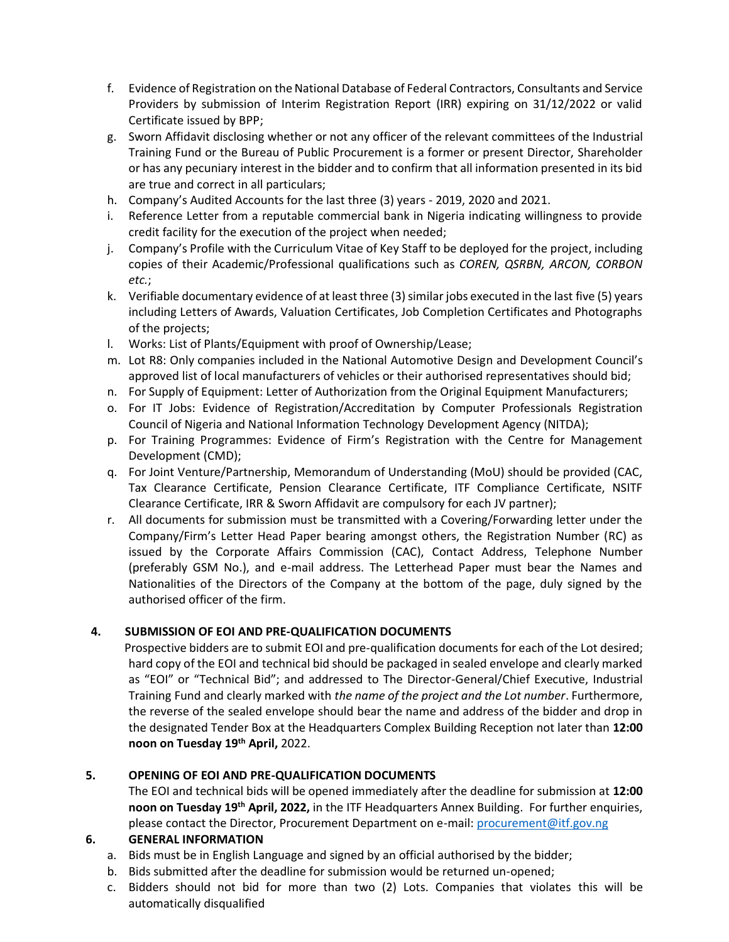- f. Evidence of Registration on the National Database of Federal Contractors, Consultants and Service Providers by submission of Interim Registration Report (IRR) expiring on 31/12/2022 or valid Certificate issued by BPP;
- g. Sworn Affidavit disclosing whether or not any officer of the relevant committees of the Industrial Training Fund or the Bureau of Public Procurement is a former or present Director, Shareholder or has any pecuniary interest in the bidder and to confirm that all information presented in its bid are true and correct in all particulars;
- h. Company's Audited Accounts for the last three (3) years 2019, 2020 and 2021.
- i. Reference Letter from a reputable commercial bank in Nigeria indicating willingness to provide credit facility for the execution of the project when needed;
- j. Company's Profile with the Curriculum Vitae of Key Staff to be deployed for the project, including copies of their Academic/Professional qualifications such as *COREN, QSRBN, ARCON, CORBON etc.*;
- k. Verifiable documentary evidence of at least three (3) similar jobs executed in the last five (5) years including Letters of Awards, Valuation Certificates, Job Completion Certificates and Photographs of the projects;
- l. Works: List of Plants/Equipment with proof of Ownership/Lease;
- m. Lot R8: Only companies included in the National Automotive Design and Development Council's approved list of local manufacturers of vehicles or their authorised representatives should bid;
- n. For Supply of Equipment: Letter of Authorization from the Original Equipment Manufacturers;
- o. For IT Jobs: Evidence of Registration/Accreditation by Computer Professionals Registration Council of Nigeria and National Information Technology Development Agency (NITDA);
- p. For Training Programmes: Evidence of Firm's Registration with the Centre for Management Development (CMD);
- q. For Joint Venture/Partnership, Memorandum of Understanding (MoU) should be provided (CAC, Tax Clearance Certificate, Pension Clearance Certificate, ITF Compliance Certificate, NSITF Clearance Certificate, IRR & Sworn Affidavit are compulsory for each JV partner);
- r. All documents for submission must be transmitted with a Covering/Forwarding letter under the Company/Firm's Letter Head Paper bearing amongst others, the Registration Number (RC) as issued by the Corporate Affairs Commission (CAC), Contact Address, Telephone Number (preferably GSM No.), and e-mail address. The Letterhead Paper must bear the Names and Nationalities of the Directors of the Company at the bottom of the page, duly signed by the authorised officer of the firm.

# **4. SUBMISSION OF EOI AND PRE-QUALIFICATION DOCUMENTS**

 Prospective bidders are to submit EOI and pre-qualification documents for each of the Lot desired; hard copy of the EOI and technical bid should be packaged in sealed envelope and clearly marked as "EOI" or "Technical Bid"; and addressed to The Director-General/Chief Executive, Industrial Training Fund and clearly marked with *the name of the project and the Lot number*. Furthermore, the reverse of the sealed envelope should bear the name and address of the bidder and drop in the designated Tender Box at the Headquarters Complex Building Reception not later than **12:00 noon on Tuesday 19th April,** 2022.

# **5. OPENING OF EOI AND PRE-QUALIFICATION DOCUMENTS**

The EOI and technical bids will be opened immediately after the deadline for submission at **12:00 noon on Tuesday 19th April, 2022,** in the ITF Headquarters Annex Building. For further enquiries, please contact the Director, Procurement Department on e-mail[: procurement@itf.gov.ng](about:blank)

# **6. GENERAL INFORMATION**

- a. Bids must be in English Language and signed by an official authorised by the bidder;
- b. Bids submitted after the deadline for submission would be returned un-opened;
- c. Bidders should not bid for more than two (2) Lots. Companies that violates this will be automatically disqualified